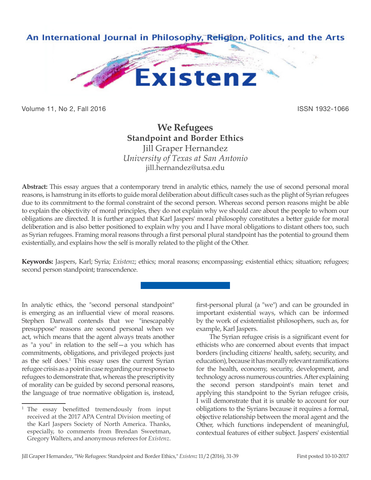

Volume 11, No 2, Fall 2016 **ISSN 1932-1066** 

# **We Refugees Standpoint and Border Ethics** Jill Graper Hernandez

*University of Texas at San Antonio* jill.hernandez@utsa.edu

**Abstract:** This essay argues that a contemporary trend in analytic ethics, namely the use of second personal moral reasons, is hamstrung in its efforts to guide moral deliberation about difficult cases such as the plight of Syrian refugees due to its commitment to the formal constraint of the second person. Whereas second person reasons might be able to explain the objectivity of moral principles, they do not explain why we should care about the people to whom our obligations are directed. It is further argued that Karl Jaspers' moral philosophy constitutes a better guide for moral deliberation and is also better positioned to explain why you and I have moral obligations to distant others too, such as Syrian refugees. Framing moral reasons through a first personal plural standpoint has the potential to ground them existentially, and explains how the self is morally related to the plight of the Other.

**Keywords:** Jaspers, Karl; Syria; *Existenz*; ethics; moral reasons; encompassing; existential ethics; situation; refugees; second person standpoint; transcendence.

In analytic ethics, the "second personal standpoint" is emerging as an influential view of moral reasons. Stephen Darwall contends that we "inescapably presuppose" reasons are second personal when we act, which means that the agent always treats another as "a you" in relation to the self—a you which has commitments, obligations, and privileged projects just as the self does.<sup>1</sup> This essay uses the current Syrian refugee crisis as a point in case regarding our response to refugees to demonstrate that, whereas the prescriptivity of morality can be guided by second personal reasons, the language of true normative obligation is, instead,

first-personal plural (a "we") and can be grounded in important existential ways, which can be informed by the work of existentialist philosophers, such as, for example, Karl Jaspers.

The Syrian refugee crisis is a significant event for ethicists who are concerned about events that impact borders (including citizens' health, safety, security, and education), because it has morally relevant ramifications for the health, economy, security, development, and technology across numerous countries. After explaining the second person standpoint's main tenet and applying this standpoint to the Syrian refugee crisis, I will demonstrate that it is unable to account for our obligations to the Syrians because it requires a formal, objective relationship between the moral agent and the Other, which functions independent of meaningful, contextual features of either subject. Jaspers' existential

The essay benefitted tremendously from input received at the 2017 APA Central Division meeting of the Karl Jaspers Society of North America. Thanks, especially, to comments from Brendan Sweetman, Gregory Walters, and anonymous referees for *Existenz*.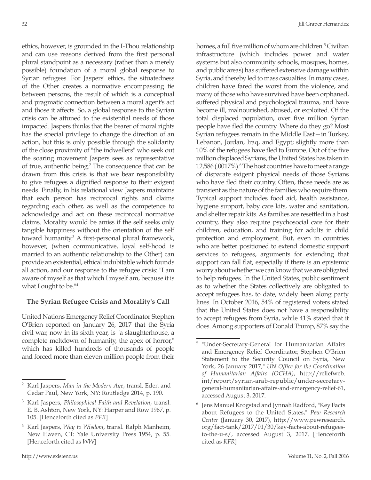ethics, however, is grounded in the I-Thou relationship and can use reasons derived from the first personal plural standpoint as a necessary (rather than a merely possible) foundation of a moral global response to Syrian refugees. For Jaspers' ethics, the situatedness of the Other creates a normative encompassing tie between persons, the result of which is a conceptual and pragmatic connection between a moral agent's act and those it affects. So, a global response to the Syrian crisis can be attuned to the existential needs of those impacted. Jaspers thinks that the bearer of moral rights has the special privilege to change the direction of an action, but this is only possible through the solidarity of the close proximity of "the indwellers" who seek out the soaring movement Jaspers sees as representative of true, authentic being.<sup>2</sup> The consequence that can be drawn from this crisis is that we bear responsibility to give refugees a dignified response to their exigent needs. Finally, in his relational view Jaspers maintains that each person has reciprocal rights and claims regarding each other, as well as the competence to acknowledge and act on these reciprocal normative claims. Morality would be amiss if the self seeks only tangible happiness without the orientation of the self toward humanity.3 A first-personal plural framework, however, (when communicative, loyal self-hood is married to an authentic relationship to the Other) can provide an existential, ethical indubitable which founds all action, and our response to the refugee crisis: "I am aware of myself as that which I myself am, because it is what I ought to be.<sup>"4</sup>

### **The Syrian Refugee Crisis and Morality's Call**

United Nations Emergency Relief Coordinator Stephen O'Brien reported on January 26, 2017 that the Syria civil war, now in its sixth year, is "a slaughterhouse, a complete meltdown of humanity, the apex of horror," which has killed hundreds of thousands of people and forced more than eleven million people from their homes, a full five million of whom are children.<sup>5</sup> Civilian infrastructure (which includes power and water systems but also community schools, mosques, homes, and public areas) has suffered extensive damage within Syria, and thereby led to mass casualties. In many cases, children have fared the worst from the violence, and many of those who have survived have been orphaned, suffered physical and psychological trauma, and have become ill, malnourished, abused, or exploited. Of the total displaced population, over five million Syrian people have fled the country. Where do they go? Most Syrian refugees remain in the Middle East—in Turkey, Lebanon, Jordan, Iraq, and Egypt; slightly more than 10% of the refugees have fled to Europe. Out of the five million displaced Syrians, the United States has taken in 12,586 (.0017%).<sup>6</sup> The host countries have to meet a range of disparate exigent physical needs of those Syrians who have fled their country. Often, those needs are as transient as the nature of the families who require them. Typical support includes food aid, health assistance, hygiene support, baby care kits, water and sanitation, and shelter repair kits. As families are resettled in a host country, they also require psychosocial care for their children, education, and training for adults in child protection and employment. But, even in countries who are better positioned to extend domestic support services to refugees, arguments for extending that support can fall flat, especially if there is an epistemic worry about whether we can know that we are obligated to help refugees. In the United States, public sentiment as to whether the States collectively are obligated to accept refugees has, to date, widely been along party lines. In October 2016, 54% of registered voters stated that the United States does not have a responsibility to accept refugees from Syria, while 41% stated that it does. Among supporters of Donald Trump, 87% say the

<sup>2</sup> Karl Jaspers, *Man in the Modern Age*, transl. Eden and Cedar Paul, New York, NY: Routledge 2014, p. 190.

<sup>3</sup> Karl Jaspers, *Philosophical Faith and Revelation*, transl. E. B. Ashton, New York, NY: Harper and Row 1967, p. 105. [Henceforth cited as *PFR*]

<sup>4</sup> Karl Jaspers, *Way to Wisdom*, transl. Ralph Manheim, New Haven, CT: Yale University Press 1954, p. 55. [Henceforth cited as *WW*]

<sup>5</sup> "Under-Secretary-General for Humanitarian Affairs and Emergency Relief Coordinator, Stephen O'Brien Statement to the Security Council on Syria, New York, 26 January 2017," *UN Office for the Coordination of Humanitarian Affairs (OCHA)*, http://reliefweb. int/report/syrian-arab-republic/under-secretarygeneral-humanitarian-affairs-and-emergency-relief-61, accessed August 3, 2017.

Jens Manuel Krogstad and Jynnah Radford, "Key Facts about Refugees to the United States," *Pew Research Center* (January 30, 2017), http://www.pewresearch. org/fact-tank/2017/01/30/key-facts-about-refugeesto-the-u-s/, accessed August 3, 2017. [Henceforth cited as *KFR*]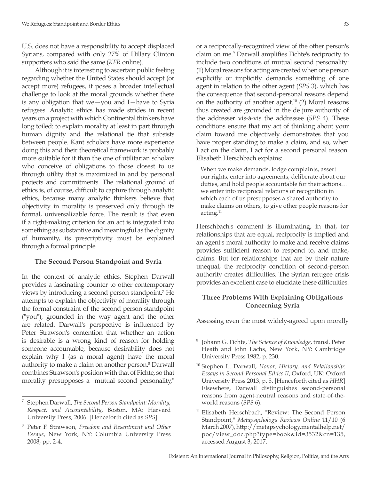U.S. does not have a responsibility to accept displaced Syrians, compared with only 27% of Hillary Clinton supporters who said the same (*KFR* online).

Although it is interesting to ascertain public feeling regarding whether the United States should accept (or accept more) refugees, it poses a broader intellectual challenge to look at the moral grounds whether there is any obligation that we—you and I—have to Syria refugees. Analytic ethics has made strides in recent years on a project with which Continental thinkers have long toiled: to explain morality at least in part through human dignity and the relational tie that subsists between people. Kant scholars have more experience doing this and their theoretical framework is probably more suitable for it than the one of utilitarian scholars who conceive of obligations to those closest to us through utility that is maximized in and by personal projects and commitments. The relational ground of ethics is, of course, difficult to capture through analytic ethics, because many analytic thinkers believe that objectivity in morality is preserved only through its formal, universalizable force. The result is that even if a right-making criterion for an act is integrated into something as substantive and meaningful as the dignity of humanity, its prescriptivity must be explained through a formal principle.

### **The Second Person Standpoint and Syria**

In the context of analytic ethics, Stephen Darwall provides a fascinating counter to other contemporary views by introducing a second person standpoint.7 He attempts to explain the objectivity of morality through the formal constraint of the second person standpoint ("you"), grounded in the way agent and the other are related. Darwall's perspective is influenced by Peter Strawson's contention that whether an action is desirable is a wrong kind of reason for holding someone accountable, because desirability does not explain why I (as a moral agent) have the moral authority to make a claim on another person.<sup>8</sup> Darwall combines Strawson's position with that of Fichte, so that morality presupposes a "mutual second personality,"

or a reciprocally-recognized view of the other person's claim on me.<sup>9</sup> Darwall amplifies Fichte's reciprocity to include two conditions of mutual second personality: (1) Moral reasons for acting are created when one person explicitly or implicitly demands something of one agent in relation to the other agent (*SPS* 3), which has the consequence that second-personal reasons depend on the authority of another agent.<sup>10</sup> (2) Moral reasons thus created are grounded in the de jure authority of the addresser vis-à-vis the addressee (*SPS* 4). These conditions ensure that my act of thinking about your claim toward me objectively demonstrates that you have proper standing to make a claim, and so, when I act on the claim, I act for a second personal reason. Elisabeth Herschbach explains:

When we make demands, lodge complaints, assert our rights, enter into agreements, deliberate about our duties, and hold people accountable for their actions… we enter into reciprocal relations of recognition in which each of us presupposes a shared authority to make claims on others, to give other people reasons for acting.11

Herschbach's comment is illuminating, in that, for relationships that are equal, reciprocity is implied and an agent's moral authority to make and receive claims provides sufficient reason to respond to, and make, claims. But for relationships that are by their nature unequal, the reciprocity condition of second-person authority creates difficulties. The Syrian refugee crisis provides an excellent case to elucidate these difficulties.

## **Three Problems With Explaining Obligations Concerning Syria**

Assessing even the most widely-agreed upon morally

<sup>7</sup> Stephen Darwall, *The Second Person Standpoint: Morality, Respect, and Accountability*, Boston, MA: Harvard University Press, 2006. [Henceforth cited as *SPS*]

<sup>8</sup> Peter F. Strawson, *Freedom and Resentment and Other Essays*, New York, NY: Columbia University Press 2008, pp. 2-4.

<sup>9</sup> Johann G. Fichte, *The Science of Knowledge*, transl. Peter Heath and John Lachs, New York, NY: Cambridge University Press 1982, p. 230.

<sup>10</sup> Stephen L. Darwall, *Honor, History, and Relationship: Essays in Second-Personal Ethics II*, Oxford, UK: Oxford University Press 2013, p. 5. [Henceforth cited as *HHR*] Elsewhere, Darwall distinguishes second-personal reasons from agent-neutral reasons and state-of-theworld reasons (*SPS* 6).

<sup>&</sup>lt;sup>11</sup> Elisabeth Herschbach, "Review: The Second Person Standpoint," *Metapsychology Reviews Online* 11/10 (6 March 2007), http://metapsychology.mentalhelp.net/ poc/view\_doc.php?type=book&id=3532&cn=135, accessed August 3, 2017.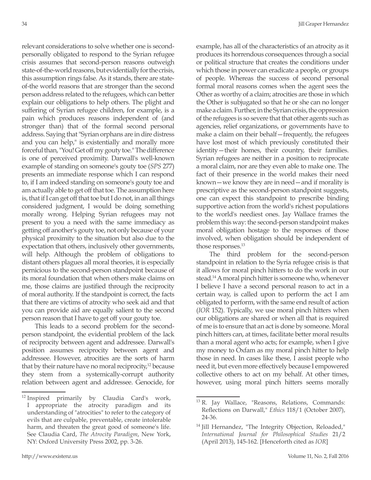relevant considerations to solve whether one is secondpersonally obligated to respond to the Syrian refugee crisis assumes that second-person reasons outweigh state-of-the-world reasons, but evidentially for the crisis, this assumption rings false. As it stands, there are stateof-the world reasons that are stronger than the second person address related to the refugees, which can better explain our obligations to help others. The plight and suffering of Syrian refugee children, for example, is a pain which produces reasons independent of (and stronger than) that of the formal second personal address. Saying that "Syrian orphans are in dire distress and you can help," is existentially and morally more forceful than, "You! Get off my gouty toe." The difference is one of perceived proximity. Darwall's well-known example of standing on someone's gouty toe (*SPS* 277) presents an immediate response which I can respond to, if I am indeed standing on someone's gouty toe and am actually able to get off that toe. The assumption here is, that if I can get off that toe but I do not, in an all things considered judgment, I would be doing something morally wrong. Helping Syrian refugees may not present to you a need with the same immediacy as getting off another's gouty toe, not only because of your physical proximity to the situation but also due to the expectation that others, inclusively other governments, will help. Although the problem of obligations to distant others plagues all moral theories, it is especially pernicious to the second-person standpoint because of its moral foundation that when others make claims on me, those claims are justified through the reciprocity of moral authority. If the standpoint is correct, the facts that there are victims of atrocity who seek aid and that you can provide aid are equally salient to the second person reason that I have to get off your gouty toe.

This leads to a second problem for the secondperson standpoint, the evidential problem of the lack of reciprocity between agent and addressee. Darwall's position assumes reciprocity between agent and addressee. However, atrocities are the sorts of harm that by their nature have no moral reciprocity,<sup>12</sup> because they stem from a systemically-corrupt authority relation between agent and addressee. Genocide, for example, has all of the characteristics of an atrocity as it produces its horrendous consequences through a social or political structure that creates the conditions under which those in power can eradicate a people, or groups of people. Whereas the success of second personal formal moral reasons comes when the agent sees the Other as worthy of a claim; atrocities are those in which the Other is subjugated so that he or she can no longer make a claim. Further, in the Syrian crisis, the oppression of the refugees is so severe that that other agents such as agencies, relief organizations, or governments have to make a claim on their behalf—frequently, the refugees have lost most of which previously constituted their identity—their homes, their country, their families. Syrian refugees are neither in a position to reciprocate a moral claim, nor are they even able to make one. The fact of their presence in the world makes their need known—we know they are in need—and if morality is prescriptive as the second-person standpoint suggests, one can expect this standpoint to prescribe binding supportive action from the world's richest populations to the world's neediest ones. Jay Wallace frames the problem this way: the second-person standpoint makes moral obligation hostage to the responses of those involved, when obligation should be independent of those responses.<sup>13</sup>

The third problem for the second-person standpoint in relation to the Syria refugee crisis is that it allows for moral pinch hitters to do the work in our stead.14 A moral pinch hitter is someone who, whenever I believe I have a second personal reason to act in a certain way, is called upon to perform the act I am obligated to perform, with the same end result of action (*IOR* 152). Typically, we use moral pinch hitters when our obligations are shared or when all that is required of me is to ensure that an act is done by someone. Moral pinch hitters can, at times, facilitate better moral results than a moral agent who acts; for example, when I give my money to Oxfam as my moral pinch hitter to help those in need. In cases like these, I assist people who need it, but even more effectively because I empowered collective others to act on my behalf. At other times, however, using moral pinch hitters seems morally

<sup>&</sup>lt;sup>12</sup> Inspired primarily by Claudia Card's work, I appropriate the atrocity paradigm and its understanding of "atrocities" to refer to the category of evils that are culpable, preventable, create intolerable harm, and threaten the great good of someone's life. See Claudia Card, *The Atrocity Paradigm*, New York, NY: Oxford University Press 2002, pp. 3-26.

<sup>13</sup> R. Jay Wallace, "Reasons, Relations, Commands: Reflections on Darwall," *Ethics* 118/1 (October 2007), 24-36.

<sup>&</sup>lt;sup>14</sup> Jill Hernandez, "The Integrity Objection, Reloaded," *International Journal for Philosophical Studies* 21/2 (April 2013), 145-162. [Henceforth cited as *IOR*]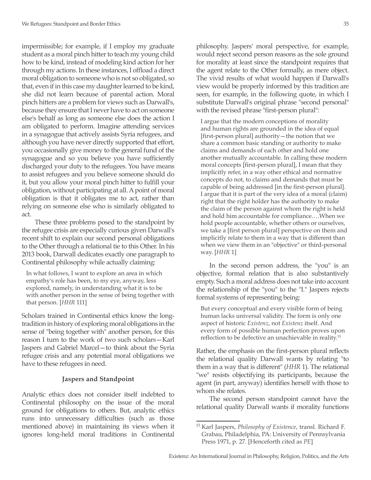impermissible; for example, if I employ my graduate student as a moral pinch hitter to teach my young child how to be kind, instead of modeling kind action for her through my actions. In these instances, I offload a direct moral obligation to someone who is not so obligated, so that, even if in this case my daughter learned to be kind, she did not learn because of parental action. Moral pinch hitters are a problem for views such as Darwall's, because they ensure that I never have to act on someone else's behalf as long as someone else does the action I am obligated to perform. Imagine attending services in a synagogue that actively assists Syria refugees, and although you have never directly supported that effort, you occasionally give money to the general fund of the synagogue and so you believe you have sufficiently discharged your duty to the refugees. You have means to assist refugees and you believe someone should do it, but you allow your moral pinch hitter to fulfill your obligation, without participating at all. A point of moral obligation is that it obligates me to act, rather than relying on someone else who is similarly obligated to act.

These three problems posed to the standpoint by the refugee crisis are especially curious given Darwall's recent shift to explain our second personal obligations to the Other through a relational tie to this Other. In his 2013 book, Darwall dedicates exactly one paragraph to Continental philosophy while actually claiming:

In what follows, I want to explore an area in which empathy's role has been, to my eye, anyway, less explored, namely, in understanding what it is to be with another person in the sense of being together with that person. [*HHR* 111]

Scholars trained in Continental ethics know the longtradition in history of exploring moral obligations in the sense of "being together with" another person, for this reason I turn to the work of two such scholars—Karl Jaspers and Gabriel Marcel—to think about the Syria refugee crisis and any potential moral obligations we have to these refugees in need.

#### **Jaspers and Standpoint**

Analytic ethics does not consider itself indebted to Continental philosophy on the issue of the moral ground for obligations to others. But, analytic ethics runs into unnecessary difficulties (such as those mentioned above) in maintaining its views when it ignores long-held moral traditions in Continental philosophy. Jaspers' moral perspective, for example, would reject second person reasons as the sole ground for morality at least since the standpoint requires that the agent relate to the Other formally, as mere object. The vivid results of what would happen if Darwall's view would be properly informed by this tradition are seen, for example, in the following quote, in which I substitute Darwall's original phrase "second personal" with the revised phrase "first-person plural":

I argue that the modern conceptions of morality and human rights are grounded in the idea of equal [first-person plural] authority—the notion that we share a common basic standing or authority to make claims and demands of each other and hold one another mutually accountable. In calling these modern moral concepts [first-person plural], I mean that they implicitly refer, in a way other ethical and normative concepts do not, to claims and demands that must be capable of being addressed [in the first-person plural]. I argue that it is part of the very idea of a moral (claim) right that the right holder has the authority to make the claim of the person against whom the right is held and hold him accountable for compliance….When we hold people accountable, whether others or ourselves, we take a [first person plural] perspective on them and implicitly relate to them in a way that is different than when we view them in an "objective" or third-personal way. [*HHR* 1]

In the second person address, the "you" is an objective, formal relation that is also substantively empty. Such a moral address does not take into account the relationship of the "you" to the "I." Jaspers rejects formal systems of representing being:

But every conceptual and every visible form of being human lacks universal validity. The form is only one aspect of historic *Existenz*, not *Existenz* itself. And every form of possible human perfection proves upon reflection to be defective an unachievable in reality.<sup>15</sup>

Rather, the emphasis on the first-person plural reflects the relational quality Darwall wants by relating "to them in a way that is different" (*HHR* 1). The relational "we" resists objectifying its participants, because the agent (in part, anyway) identifies herself with those to whom she relates.

The second person standpoint cannot have the relational quality Darwall wants if morality functions

<sup>15</sup> Karl Jaspers, *Philosophy of Existence*, transl. Richard F. Grabau, Philadelphia, PA: University of Pennsylvania Press 1971, p. 27. [Henceforth cited as *PE*]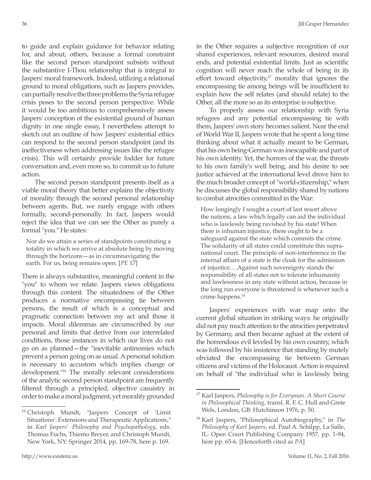to guide and explain guidance for behavior relating for, and about, others, because a formal constraint like the second person standpoint subsists without the substantive I-Thou relationship that is integral to Jaspers' moral framework. Indeed, utilizing a relational ground to moral obligations, such as Jaspers provides, can partially resolve the three problems the Syria refugee crisis poses to the second person perspective. While it would be too ambitious to comprehensively assess Jaspers' conception of the existential ground of human dignity in one single essay, I nevertheless attempt to sketch out an outline of how Jaspers' existential ethics can respond to the second person standpoint (and its ineffectiveness when addressing issues like the refugee crisis). This will certainly provide fodder for future conversation and, even more so, to commit us to future action.

The second person standpoint presents itself as a viable moral theory that better explains the objectivity of morality through the second personal relationship between agents. But, we rarely engage with others formally, second-personally. In fact, Jaspers would reject the idea that we can see the Other as purely a formal "you." He states:

Nor do we attain a series of standpoints constituting a totality in which we arrive at absolute being by moving through the horizons—as in circumnavigating the earth. For us, being remains open. [*PE* 17]

There is always substantive, meaningful content in the "you" to whom we relate. Jaspers views obligations through this content. The situatedness of the Other produces a normative encompassing tie between persons, the result of which is a conceptual and pragmatic connection between my act and those it impacts. Moral dilemmas are circumscribed by our personal and limits that derive from our interrelated conditions, those instances in which our lives do not go on as planned—the "inevitable antinomies which prevent a person going on as usual. A personal solution is necessary to accustom which implies change or development."16 The morally relevant considerations of the analytic second person standpoint are frequently filtered through a principled, objective casuistry in order to make a moral judgment, yet morality grounded

<sup>16</sup> Christoph Mundt, "Jaspers Concept of 'Limit Situations': Extensions and Therapeutic Applications," in *Karl Jaspers' Philosophy and Psychopathology*, eds. Thomas Fuchs, Thiemo Breyer, and Christoph Mundt, New York, NY: Springer 2014, pp. 169-78, here p. 169.

in the Other requires a subjective recognition of our shared experiences, relevant resources, desired moral ends, and potential existential limits. Just as scientific cognition will never reach the whole of being in its effort toward objectivity, $17$  morality that ignores the encompassing tie among beings will be insufficient to explain how the self relates (and should relate) to the Other, all the more so as its enterprise is subjective.

To properly assess our relationship with Syria refugees and any potential encompassing tie with them, Jaspers' own story becomes salient. Near the end of World War II, Jaspers wrote that he spent a long time thinking about what it actually meant to be German, that his own being-German was inescapable and part of his own identity. Yet, the horrors of the war, the threats to his own family's well being, and his desire to see justice achieved at the international level drove him to the much broader concept of "world-citizenship," when he discusses the global responsibility shared by nations to combat atrocities committed in the War:

How longingly I sought a court of last resort above the nations, a law which legally can aid the individual who is lawlessly being ravished by his state! When there is inhuman injustice, there ought to be a safeguard against the state which commits the crime. The solidarity of all states could constitute this supranational court. The principle of non-interference in the internal affairs of a state is the cloak for the admission of injustice.…Against such sovereignty stands the responsibility of all states not to tolerate inhumanity and lawlessness in any state without action, because in the long run everyone is threatened is whenever such a crime happens.18

Jaspers' experiences with war map onto the current global situation in striking ways: he originally did not pay much attention to the atrocities perpetrated by Germany, and then became aghast at the extent of the horrendous evil leveled by his own country, which was followed by his insistence that standing by mutely obviated the encompassing tie between German citizens and victims of the Holocaust. Action is required on behalf of "the individual who is lawlessly being

<sup>17</sup> Karl Jaspers, *Philosophy is for Everyman. A Short Course in Philosophical Thinking*, transl. R. F. C. Hull and Grete Wels, London, GB: Hutchinson 1976, p. 50.

<sup>18</sup> Karl Jaspers, "Philosophical Autobiography," in *The Philosophy of Karl Jaspers*, ed. Paul A. Schilpp, La Salle, IL: Open Court Publishing Company 1957, pp. 1-94, here pp. 65-6. [Henceforth cited as *PA*]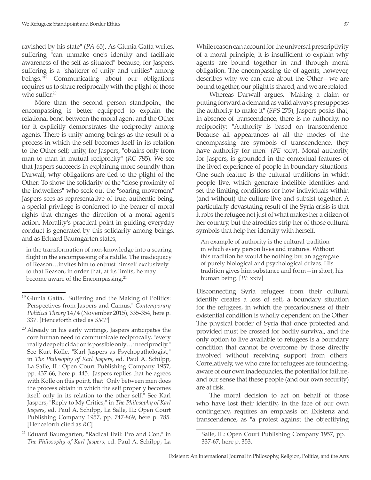ravished by his state" (*PA* 65). As Giunia Gatta writes, suffering "can unmake one's identity and facilitate awareness of the self as situated" because, for Jaspers, suffering is a "shatterer of unity and unities" among beings."19 Communicating about our obligations requires us to share reciprocally with the plight of those who suffer.<sup>20</sup>

More than the second person standpoint, the encompassing is better equipped to explain the relational bond between the moral agent and the Other for it explicitly demonstrates the reciprocity among agents. There is unity among beings as the result of a process in which the self becomes itself in its relation to the Other self; unity, for Jaspers, "obtains only from man to man in mutual reciprocity" (*RC* 785). We see that Jaspers succeeds in explaining more soundly than Darwall, why obligations are tied to the plight of the Other: To show the solidarity of the "close proximity of the indwellers" who seek out the "soaring movement" Jaspers sees as representative of true, authentic being, a special privilege is conferred to the bearer of moral rights that changes the direction of a moral agent's action. Morality's practical point in guiding everyday conduct is generated by this solidarity among beings, and as Eduard Baumgarten states,

in the transformation of non-knowledge into a soaring flight in the encompassing of a riddle. The inadequacy of Reason…invites him to entrust himself exclusively to that Reason, in order that, at its limits, he may become aware of the Encompassing.<sup>21</sup>

While reason can account for the universal prescriptivity of a moral principle, it is insufficient to explain why agents are bound together in and through moral obligation. The encompassing tie of agents, however, describes why we can care about the Other—we are bound together, our plight is shared, and we are related.

Whereas Darwall argues, "Making a claim or putting forward a demand as valid always presupposes the authority to make it" (*SPS* 275), Jaspers posits that, in absence of transcendence, there is no authority, no reciprocity: "Authority is based on transcendence. Because all appearances at all the modes of the encompassing are symbols of transcendence, they have authority for men" (*PE* xxiv). Moral authority, for Jaspers, is grounded in the contextual features of the lived experience of people in boundary situations. One such feature is the cultural traditions in which people live, which generate indelible identities and set the limiting conditions for how individuals within (and without) the culture live and subsist together. A particularly devastating result of the Syria crisis is that it robs the refugee not just of what makes her a citizen of her country, but the atrocities strip her of those cultural symbols that help her identify with herself.

An example of authority is the cultural tradition in which every person lives and matures. Without this tradition he would be nothing but an aggregate of purely biological and psychological drives. His tradition gives him substance and form—in short, his human being. [*PE* xxiv]

Disconnecting Syria refugees from their cultural identity creates a loss of self, a boundary situation for the refugees, in which the precariousness of their existential condition is wholly dependent on the Other. The physical border of Syria that once protected and provided must be crossed for bodily survival, and the only option to live available to refugees is a boundary condition that cannot be overcome by those directly involved without receiving support from others. Correlatively, we who care for refugees are foundering, aware of our own inadequacies, the potential for failure, and our sense that these people (and our own security) are at risk.

The moral decision to act on behalf of those who have lost their identity, in the face of our own contingency, requires an emphasis on Existenz and transcendence, as "a protest against the objectifying

<sup>&</sup>lt;sup>19</sup> Giunia Gatta, "Suffering and the Making of Politics: Perspectives from Jaspers and Camus," *Contemporary Political Theory* 14/4 (November 2015), 335-354, here p. 337. [Henceforth cited as *SMP*]

<sup>&</sup>lt;sup>20</sup> Already in his early writings, Jaspers anticipates the core human need to communicate reciprocally, "every really deep elucidation is possible only… in reciprocity." See Kurt Kolle, "Karl Jaspers as Psychopathologist," in *The Philosophy of Karl Jaspers*, ed. Paul A. Schilpp, La Salle, IL: Open Court Publishing Company 1957, pp. 437-66, here p. 445. Jaspers replies that he agrees with Kolle on this point, that "Only between men does the process obtain in which the self properly becomes itself only in its relation to the other self." See Karl Jaspers, "Reply to My Critics," in *The Philosophy of Karl Jaspers*, ed. Paul A. Schilpp, La Salle, IL: Open Court Publishing Company 1957, pp. 747-869, here p. 785. [Henceforth cited as *RC*]

Eduard Baumgarten, "Radical Evil: Pro and Con," in *The Philosophy of Karl Jaspers*, ed. Paul A. Schilpp, La

Salle, IL: Open Court Publishing Company 1957, pp. 337-67, here p. 353.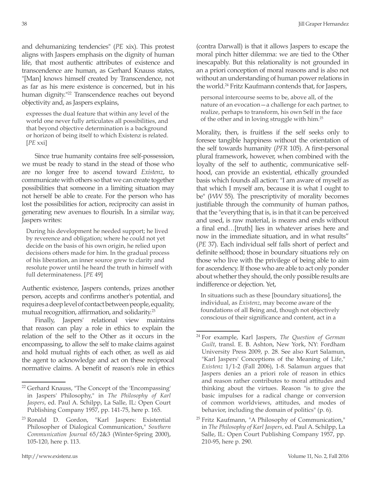and dehumanizing tendencies" (*PE* xix). This protest aligns with Jaspers emphasis on the dignity of human life, that most authentic attributes of existence and transcendence are human, as Gerhard Knauss states, "[Man] knows himself created by Transcendence, not as far as his mere existence is concerned, but in his human dignity."<sup>22</sup> Transcendence reaches out beyond objectivity and, as Jaspers explains,

expresses the dual feature that within any level of the world one never fully articulates all possibilities, and that beyond objective determination is a background or horizon of being itself to which Existenz is related. [*PE* xxi]

Since true humanity contains free self-possession, we must be ready to stand in the stead of those who are no longer free to ascend toward *Existenz*, to communicate with others so that we can create together possibilities that someone in a limiting situation may not herself be able to create. For the person who has lost the possibilities for action, reciprocity can assist in generating new avenues to flourish. In a similar way, Jaspers writes:

During his development he needed support; he lived by reverence and obligation; where he could not yet decide on the basis of his own origin, he relied upon decisions others made for him. In the gradual process of his liberation, an inner source grew to clarity and resolute power until he heard the truth in himself with full determinateness. [*PE* 49]

Authentic existence, Jaspers contends, prizes another person, accepts and confirms another's potential, and requires a deep level of contact between people, equality, mutual recognition, affirmation, and solidarity.<sup>23</sup>

Finally, Jaspers' relational view maintains that reason can play a role in ethics to explain the relation of the self to the Other as it occurs in the encompassing, to allow the self to make claims against and hold mutual rights of each other, as well as aid the agent to acknowledge and act on these reciprocal normative claims. A benefit of reason's role in ethics

(contra Darwall) is that it allows Jaspers to escape the moral pinch hitter dilemma: we are tied to the Other inescapably. But this relationality is not grounded in an a priori conception of moral reasons and is also not without an understanding of human power relations in the world.24 Fritz Kaufmann contends that, for Jaspers,

personal intercourse seems to be, above all, of the nature of an evocation—a challenge for each partner, to realize, perhaps to transform, his own Self in the face of the other and in loving struggle with him.25

Morality, then, is fruitless if the self seeks only to foresee tangible happiness without the orientation of the self towards humanity (*PFR* 105). A first-personal plural framework, however, when combined with the loyalty of the self to authentic, communicative selfhood, can provide an existential, ethically grounded basis which founds all action: "I am aware of myself as that which I myself am, because it is what I ought to be" (*WW* 55). The prescriptivity of morality becomes justifiable through the community of human pathos, that the "everything that is, is in that it can be perceived and used, is raw material, is means and ends without a final end…[truth] lies in whatever arises here and now in the immediate situation, and in what results" (*PE* 37). Each individual self falls short of perfect and definite selfhood; those in boundary situations rely on those who live with the privilege of being able to aim for ascendency. If those who are able to act only ponder about whether they should, the only possible results are indifference or dejection. Yet,

In situations such as these [boundary situations], the individual, as *Existenz*, may become aware of the foundations of all Being and, though not objectively conscious of their significance and content, act in a

<sup>22</sup> Gerhard Knauss, "The Concept of the 'Encompassing' in Jaspers' Philosophy," in *The Philosophy of Karl Jaspers*, ed. Paul A. Schilpp, La Salle, IL: Open Court Publishing Company 1957, pp. 141-75, here p. 165.

<sup>23</sup> Ronald D. Gordon, "Karl Jaspers: Existential Philosopher of Dialogical Communication," *Southern Communication Journal* 65/2&3 (Winter-Spring 2000), 105-120, here p. 113.

<sup>24</sup> For example, Karl Jaspers, *The Question of German Guilt*, transl. E. B. Ashton, New York, NY: Fordham University Press 2009, p. 28. See also Kurt Salamun, "Karl Jaspers' Conceptions of the Meaning of Life," *Existenz* 1/1-2 (Fall 2006), 1-8. Salamun argues that Jaspers denies an a priori role of reason in ethics and reason rather contributes to moral attitudes and thinking about the virtues. Reason "is to give the basic impulses for a radical change or conversion of common worldviews, attitudes, and modes of behavior, including the domain of politics" (p. 6).

<sup>&</sup>lt;sup>25</sup> Fritz Kaufmann, "A Philosophy of Communication," in *The Philosophy of Karl Jaspers*, ed. Paul A. Schilpp, La Salle, IL: Open Court Publishing Company 1957, pp. 210-95, here p. 290.